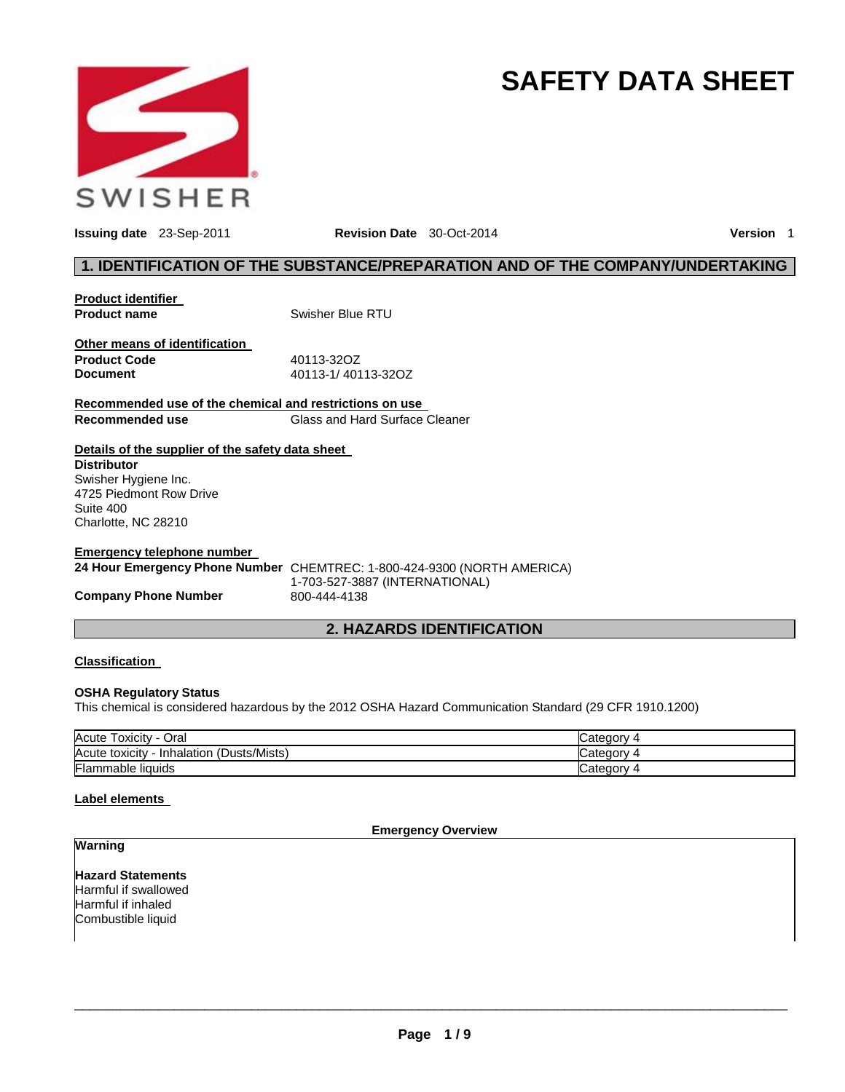

# **SAFETY DATA SHEET**

**Issuing date** 23-Sep-2011 **Revision Date** 30-Oct-2014 **Version** 1

#### **1. IDENTIFICATION OF THE SUBSTANCE/PREPARATION AND OF THE COMPANY/UNDERTAKING**

**Product identifier Product name Swisher Blue RTU** 

**Other means of identification Product Code 20113-3202 Document** 40113-1/ 40113-32OZ

**Recommended use of the chemical and restrictions on use Recommended use** Glass and Hard Surface Cleaner

**Details of the supplier of the safety data sheet** 

**Distributor** Swisher Hygiene Inc. 4725 Piedmont Row Drive Suite 400 Charlotte, NC 28210

#### **Emergency telephone number**

| 24 Hour Emergency Phone Numb |  |
|------------------------------|--|
|------------------------------|--|

**24 CHEMTREC: 1-800-424-9300 (NORTH AMERICA)** 1-703-527-3887 (INTERNATIONAL) **Company Phone Number 800-444-4138** 

### **2. HAZARDS IDENTIFICATION**

#### **Classification**

#### **OSHA Regulatory Status**

This chemical is considered hazardous by the 2012 OSHA Hazard Communication Standard (29 CFR 1910.1200)

| Acute<br>Oral<br>  oxicity                      | Category   |
|-------------------------------------------------|------------|
| (Dusts/Mists)<br>Acute toxicity<br>- Inhalation | ∵ategorvٽ  |
| Flammable liquids                               | ∵ ategorvټ |

#### **Label elements**

#### **Emergency Overview**

**Warning** 

**Hazard Statements** Harmful if swallowed Harmful if inhaled Combustible liquid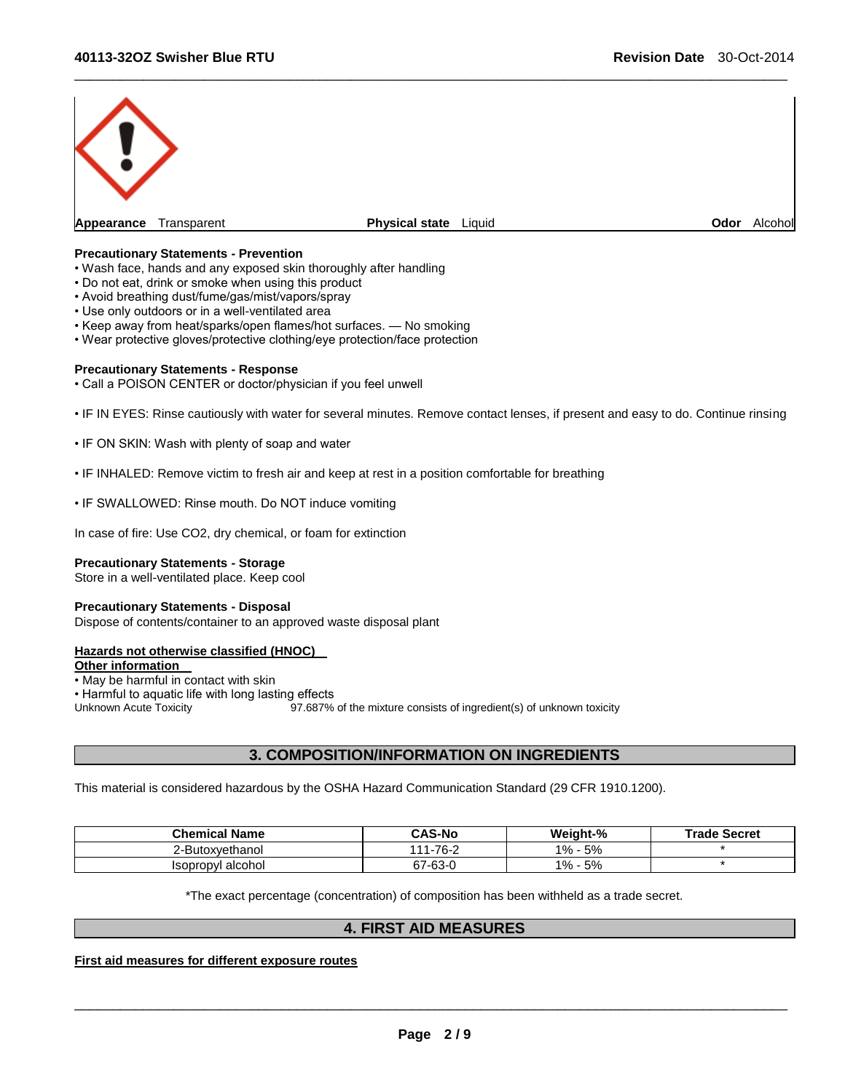

\_\_\_\_\_\_\_\_\_\_\_\_\_\_\_\_\_\_\_\_\_\_\_\_\_\_\_\_\_\_\_\_\_\_\_\_\_\_\_\_\_\_\_\_\_\_\_\_\_\_\_\_\_\_\_\_\_\_\_\_\_\_\_\_\_\_\_\_\_\_\_\_\_\_\_\_\_\_\_\_\_\_\_\_\_\_\_\_\_\_\_\_\_

#### **Precautionary Statements - Prevention**

- Wash face, hands and any exposed skin thoroughly after handling
- Do not eat, drink or smoke when using this product
- Avoid breathing dust/fume/gas/mist/vapors/spray
- Use only outdoors or in a well-ventilated area
- Keep away from heat/sparks/open flames/hot surfaces. No smoking
- Wear protective gloves/protective clothing/eye protection/face protection

#### **Precautionary Statements - Response**

• Call a POISON CENTER or doctor/physician if you feel unwell

• IF IN EYES: Rinse cautiously with water for several minutes. Remove contact lenses, if present and easy to do. Continue rinsing

- IF ON SKIN: Wash with plenty of soap and water
- IF INHALED: Remove victim to fresh air and keep at rest in a position comfortable for breathing
- IF SWALLOWED: Rinse mouth. Do NOT induce vomiting

In case of fire: Use CO2, dry chemical, or foam for extinction

#### **Precautionary Statements - Storage**

Store in a well-ventilated place. Keep cool

#### **Precautionary Statements - Disposal**

Dispose of contents/container to an approved waste disposal plant

#### **Hazards not otherwise classified (HNOC)**

**Other information** 

• May be harmful in contact with skin

• Harmful to aquatic life with long lasting effects<br>Unknown Acute Toxicity 97.687%

97.687% of the mixture consists of ingredient(s) of unknown toxicity

#### **3. COMPOSITION/INFORMATION ON INGREDIENTS**

This material is considered hazardous by the OSHA Hazard Communication Standard (29 CFR 1910.1200).

| <b>Chemical Name</b>     | <b>CAS-No</b>      | Weight-%    | <b>Trade Secret</b> |
|--------------------------|--------------------|-------------|---------------------|
| 2-Butoxvethanol          | 1-76-2<br>111      | $1\%$<br>5% |                     |
| <b>Isopropyl alcohol</b> | $7 - 63 - 0$<br>~- | 5%<br>$1\%$ |                     |

\*The exact percentage (concentration) of composition has been withheld as a trade secret.

#### **4. FIRST AID MEASURES**

**First aid measures for different exposure routes**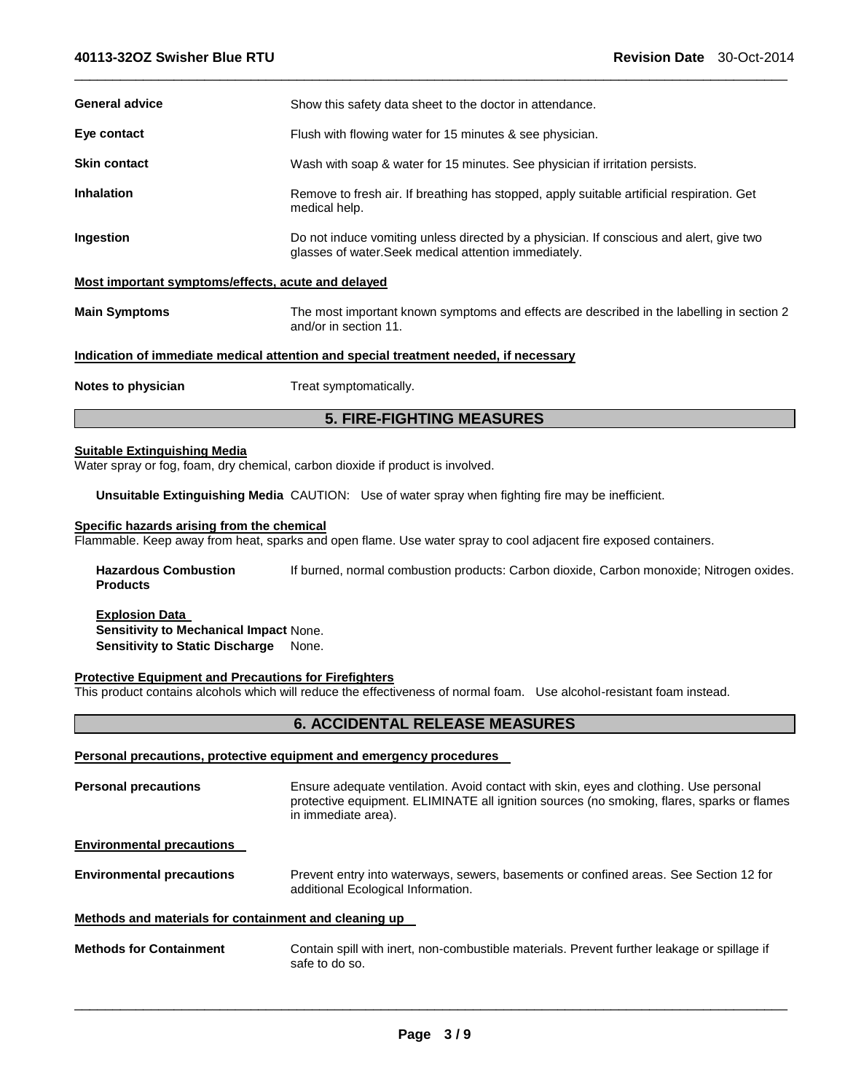| <b>General advice</b>                                                                                                                                                                                                                                                                                                   | Show this safety data sheet to the doctor in attendance.                                                                                                                                                                                                                                                                                                                                                                                                                                                                               |  |
|-------------------------------------------------------------------------------------------------------------------------------------------------------------------------------------------------------------------------------------------------------------------------------------------------------------------------|----------------------------------------------------------------------------------------------------------------------------------------------------------------------------------------------------------------------------------------------------------------------------------------------------------------------------------------------------------------------------------------------------------------------------------------------------------------------------------------------------------------------------------------|--|
| Eye contact                                                                                                                                                                                                                                                                                                             | Flush with flowing water for 15 minutes & see physician.                                                                                                                                                                                                                                                                                                                                                                                                                                                                               |  |
| <b>Skin contact</b>                                                                                                                                                                                                                                                                                                     | Wash with soap & water for 15 minutes. See physician if irritation persists.                                                                                                                                                                                                                                                                                                                                                                                                                                                           |  |
| <b>Inhalation</b>                                                                                                                                                                                                                                                                                                       | Remove to fresh air. If breathing has stopped, apply suitable artificial respiration. Get<br>medical help.                                                                                                                                                                                                                                                                                                                                                                                                                             |  |
| Ingestion                                                                                                                                                                                                                                                                                                               | Do not induce vomiting unless directed by a physician. If conscious and alert, give two<br>glasses of water. Seek medical attention immediately.                                                                                                                                                                                                                                                                                                                                                                                       |  |
| Most important symptoms/effects, acute and delayed                                                                                                                                                                                                                                                                      |                                                                                                                                                                                                                                                                                                                                                                                                                                                                                                                                        |  |
| <b>Main Symptoms</b>                                                                                                                                                                                                                                                                                                    | The most important known symptoms and effects are described in the labelling in section 2<br>and/or in section 11.                                                                                                                                                                                                                                                                                                                                                                                                                     |  |
|                                                                                                                                                                                                                                                                                                                         | Indication of immediate medical attention and special treatment needed, if necessary                                                                                                                                                                                                                                                                                                                                                                                                                                                   |  |
| Notes to physician                                                                                                                                                                                                                                                                                                      | Treat symptomatically.                                                                                                                                                                                                                                                                                                                                                                                                                                                                                                                 |  |
|                                                                                                                                                                                                                                                                                                                         | <b>5. FIRE-FIGHTING MEASURES</b>                                                                                                                                                                                                                                                                                                                                                                                                                                                                                                       |  |
| <b>Suitable Extinguishing Media</b><br>Specific hazards arising from the chemical<br><b>Hazardous Combustion</b><br><b>Products</b><br><b>Explosion Data</b><br><b>Sensitivity to Mechanical Impact None.</b><br><b>Sensitivity to Static Discharge</b><br><b>Protective Equipment and Precautions for Firefighters</b> | Water spray or fog, foam, dry chemical, carbon dioxide if product is involved.<br>Unsuitable Extinguishing Media CAUTION: Use of water spray when fighting fire may be inefficient.<br>Flammable. Keep away from heat, sparks and open flame. Use water spray to cool adjacent fire exposed containers.<br>If burned, normal combustion products: Carbon dioxide, Carbon monoxide; Nitrogen oxides.<br>None.<br>This product contains alcohols which will reduce the effectiveness of normal foam. Use alcohol-resistant foam instead. |  |
|                                                                                                                                                                                                                                                                                                                         | <b>6. ACCIDENTAL RELEASE MEASURES</b>                                                                                                                                                                                                                                                                                                                                                                                                                                                                                                  |  |
|                                                                                                                                                                                                                                                                                                                         | Personal precautions, protective equipment and emergency procedures                                                                                                                                                                                                                                                                                                                                                                                                                                                                    |  |
| <b>Personal precautions</b>                                                                                                                                                                                                                                                                                             | Ensure adequate ventilation. Avoid contact with skin, eyes and clothing. Use personal<br>protective equipment. ELIMINATE all ignition sources (no smoking, flares, sparks or flames<br>in immediate area).                                                                                                                                                                                                                                                                                                                             |  |
| <b>Environmental precautions</b>                                                                                                                                                                                                                                                                                        |                                                                                                                                                                                                                                                                                                                                                                                                                                                                                                                                        |  |
| <b>Environmental precautions</b>                                                                                                                                                                                                                                                                                        | Prevent entry into waterways, sewers, basements or confined areas. See Section 12 for<br>additional Ecological Information.                                                                                                                                                                                                                                                                                                                                                                                                            |  |

#### **Methods and materials for containment and cleaning up**

**Methods for Containment** Contain spill with inert, non-combustible materials. Prevent further leakage or spillage if safe to do so.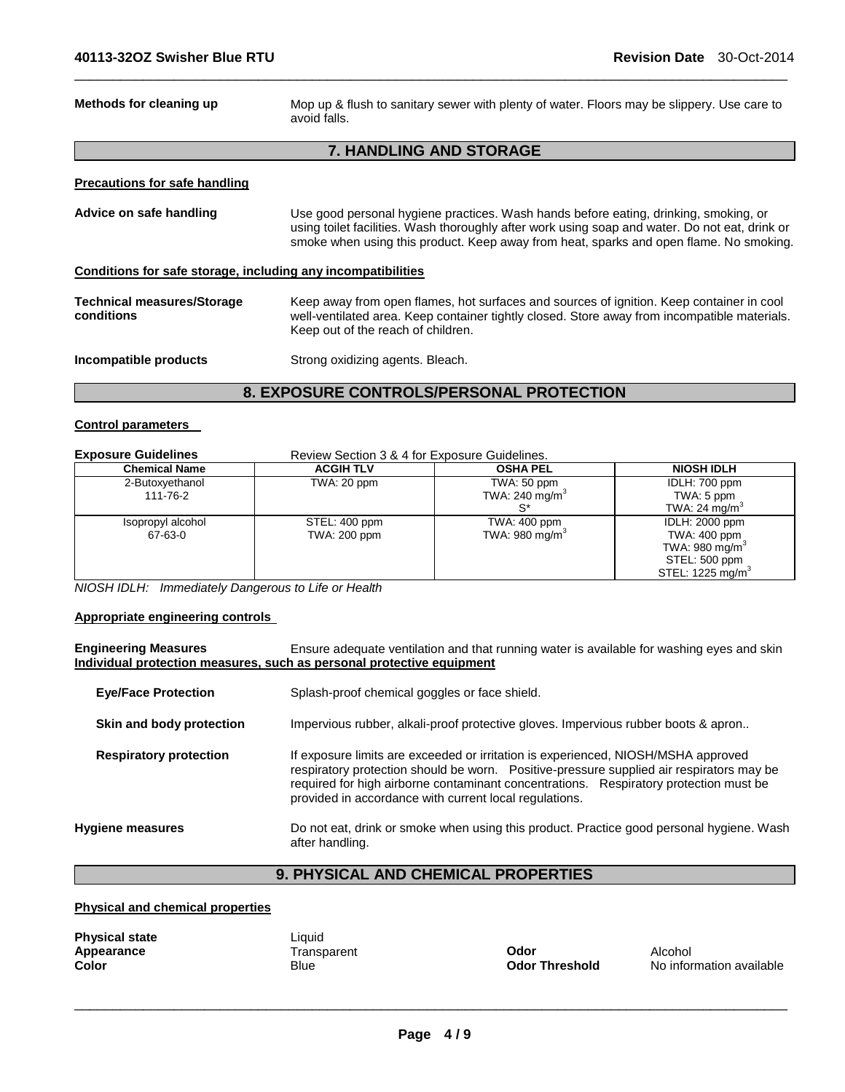| Methods for cleaning up                                      | Mop up & flush to sanitary sewer with plenty of water. Floors may be slippery. Use care to<br>avoid falls.                                                                                                                                                                       |  |  |
|--------------------------------------------------------------|----------------------------------------------------------------------------------------------------------------------------------------------------------------------------------------------------------------------------------------------------------------------------------|--|--|
|                                                              | <b>7. HANDLING AND STORAGE</b>                                                                                                                                                                                                                                                   |  |  |
| <b>Precautions for safe handling</b>                         |                                                                                                                                                                                                                                                                                  |  |  |
| Advice on safe handling                                      | Use good personal hygiene practices. Wash hands before eating, drinking, smoking, or<br>using toilet facilities. Wash thoroughly after work using soap and water. Do not eat, drink or<br>smoke when using this product. Keep away from heat, sparks and open flame. No smoking. |  |  |
| Conditions for safe storage, including any incompatibilities |                                                                                                                                                                                                                                                                                  |  |  |
| <b>Technical measures/Storage</b><br>conditions              | Keep away from open flames, hot surfaces and sources of ignition. Keep container in cool<br>well-ventilated area. Keep container tightly closed. Store away from incompatible materials.<br>Keep out of the reach of children.                                                   |  |  |
| Incompatible products                                        | Strong oxidizing agents. Bleach.                                                                                                                                                                                                                                                 |  |  |
| 8. EXPOSURE CONTROLS/PERSONAL PROTECTION                     |                                                                                                                                                                                                                                                                                  |  |  |

\_\_\_\_\_\_\_\_\_\_\_\_\_\_\_\_\_\_\_\_\_\_\_\_\_\_\_\_\_\_\_\_\_\_\_\_\_\_\_\_\_\_\_\_\_\_\_\_\_\_\_\_\_\_\_\_\_\_\_\_\_\_\_\_\_\_\_\_\_\_\_\_\_\_\_\_\_\_\_\_\_\_\_\_\_\_\_\_\_\_\_\_\_

#### **Control parameters**

| <b>Exposure Guidelines</b>   | Review Section 3 & 4 for Exposure Guidelines. |                                           |                                                                                                                      |
|------------------------------|-----------------------------------------------|-------------------------------------------|----------------------------------------------------------------------------------------------------------------------|
| <b>Chemical Name</b>         | <b>ACGIH TLV</b>                              | <b>OSHA PEL</b>                           | <b>NIOSH IDLH</b>                                                                                                    |
| 2-Butoxyethanol<br>111-76-2  | TWA: 20 ppm                                   | TWA: 50 ppm<br>TWA: 240 mg/m <sup>3</sup> | IDLH: 700 ppm<br>TWA: 5 ppm<br>TWA: 24 mg/m <sup>3</sup>                                                             |
| Isopropyl alcohol<br>67-63-0 | STEL: 400 ppm<br><b>TWA: 200 ppm</b>          | TWA: 400 ppm<br>TWA: $980 \text{ mg/m}^3$ | <b>IDLH: 2000 ppm</b><br>TWA: 400 ppm<br>TWA: 980 mg/m <sup>3</sup><br>STEL: 500 ppm<br>STEL: 1225 mg/m <sup>3</sup> |

*NIOSH IDLH: Immediately Dangerous to Life or Health* 

#### **Appropriate engineering controls**

**Engineering Measures** Ensure adequate ventilation and that running water is available for washing eyes and skin **Individual protection measures, such as personal protective equipment**

| <b>Eye/Face Protection</b>    | Splash-proof chemical goggles or face shield.                                                                                                                                                                                                                                                                                     |  |  |
|-------------------------------|-----------------------------------------------------------------------------------------------------------------------------------------------------------------------------------------------------------------------------------------------------------------------------------------------------------------------------------|--|--|
| Skin and body protection      | Impervious rubber, alkali-proof protective gloves. Impervious rubber boots & apron                                                                                                                                                                                                                                                |  |  |
| <b>Respiratory protection</b> | If exposure limits are exceeded or irritation is experienced, NIOSH/MSHA approved<br>respiratory protection should be worn.  Positive-pressure supplied air respirators may be<br>required for high airborne contaminant concentrations. Respiratory protection must be<br>provided in accordance with current local regulations. |  |  |
| Hygiene measures              | Do not eat, drink or smoke when using this product. Practice good personal hygiene. Wash<br>after handling.                                                                                                                                                                                                                       |  |  |

# **9. PHYSICAL AND CHEMICAL PROPERTIES**

#### **Physical and chemical properties**

| <b>Physical state</b> | ∟iquid      |                       |                          |
|-----------------------|-------------|-----------------------|--------------------------|
| Appearance            | Transparent | Odor                  | Alcohol                  |
| Color                 | Blue        | <b>Odor Threshold</b> | No information available |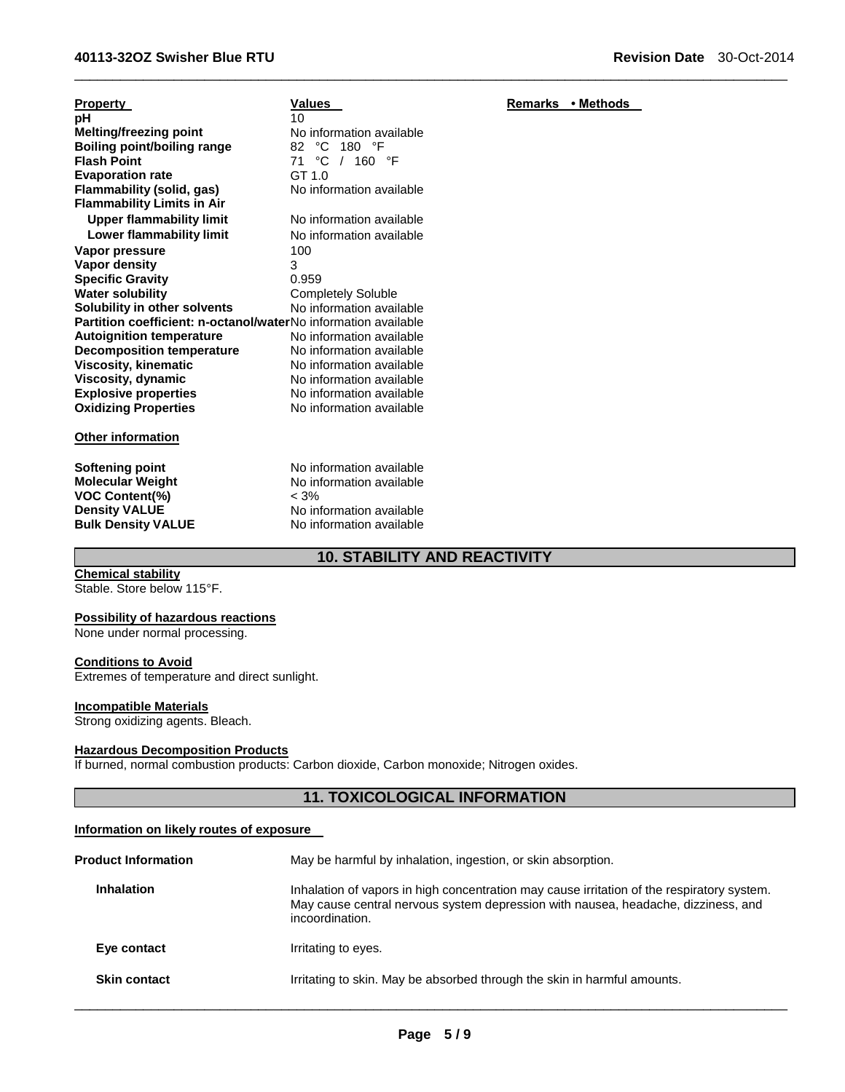| Property                                                       | Values                         | <b>Remarks</b> | • Methods |
|----------------------------------------------------------------|--------------------------------|----------------|-----------|
| рH                                                             | 10                             |                |           |
| <b>Melting/freezing point</b>                                  | No information available       |                |           |
| Boiling point/boiling range                                    | °C 180 °F<br>82.               |                |           |
| <b>Flash Point</b>                                             | 71 °C.<br>160 °F<br>$\sqrt{2}$ |                |           |
| <b>Evaporation rate</b>                                        | GT 1.0                         |                |           |
| Flammability (solid, gas)                                      | No information available       |                |           |
| <b>Flammability Limits in Air</b>                              |                                |                |           |
| Upper flammability limit                                       | No information available       |                |           |
| Lower flammability limit                                       | No information available       |                |           |
| Vapor pressure                                                 | 100                            |                |           |
| Vapor density                                                  | 3                              |                |           |
| <b>Specific Gravity</b>                                        | 0.959                          |                |           |
| <b>Water solubility</b>                                        | <b>Completely Soluble</b>      |                |           |
| Solubility in other solvents                                   | No information available       |                |           |
| Partition coefficient: n-octanol/waterNo information available |                                |                |           |
| <b>Autoignition temperature</b>                                | No information available       |                |           |
| <b>Decomposition temperature</b>                               | No information available       |                |           |
| <b>Viscosity, kinematic</b>                                    | No information available       |                |           |
| Viscosity, dynamic                                             | No information available       |                |           |
| <b>Explosive properties</b>                                    | No information available       |                |           |
| <b>Oxidizing Properties</b>                                    | No information available       |                |           |
| <b>Other information</b>                                       |                                |                |           |

**VOC Content(%)**<br>Density VALUE

**Softening point No information available**<br> **Molecular Weight No information available** No information available<br>
< 3% **Density VALUE No information available**<br> **Bulk Density VALUE No information available No information available** 

### **10. STABILITY AND REACTIVITY**

\_\_\_\_\_\_\_\_\_\_\_\_\_\_\_\_\_\_\_\_\_\_\_\_\_\_\_\_\_\_\_\_\_\_\_\_\_\_\_\_\_\_\_\_\_\_\_\_\_\_\_\_\_\_\_\_\_\_\_\_\_\_\_\_\_\_\_\_\_\_\_\_\_\_\_\_\_\_\_\_\_\_\_\_\_\_\_\_\_\_\_\_\_

**Chemical stability** Stable. Store below 115°F.

#### **Possibility of hazardous reactions**

None under normal processing.

#### **Conditions to Avoid**

Extremes of temperature and direct sunlight.

#### **Incompatible Materials**

Strong oxidizing agents. Bleach.

#### **Hazardous Decomposition Products**

If burned, normal combustion products: Carbon dioxide, Carbon monoxide; Nitrogen oxides.

## **11. TOXICOLOGICAL INFORMATION**

#### **Information on likely routes of exposure**

| <b>Product Information</b> | May be harmful by inhalation, ingestion, or skin absorption.                                                                                                                                       |  |
|----------------------------|----------------------------------------------------------------------------------------------------------------------------------------------------------------------------------------------------|--|
| <b>Inhalation</b>          | Inhalation of vapors in high concentration may cause irritation of the respiratory system.<br>May cause central nervous system depression with nausea, headache, dizziness, and<br>incoordination. |  |
| Eye contact                | Irritating to eyes.                                                                                                                                                                                |  |
| <b>Skin contact</b>        | Irritating to skin. May be absorbed through the skin in harmful amounts.                                                                                                                           |  |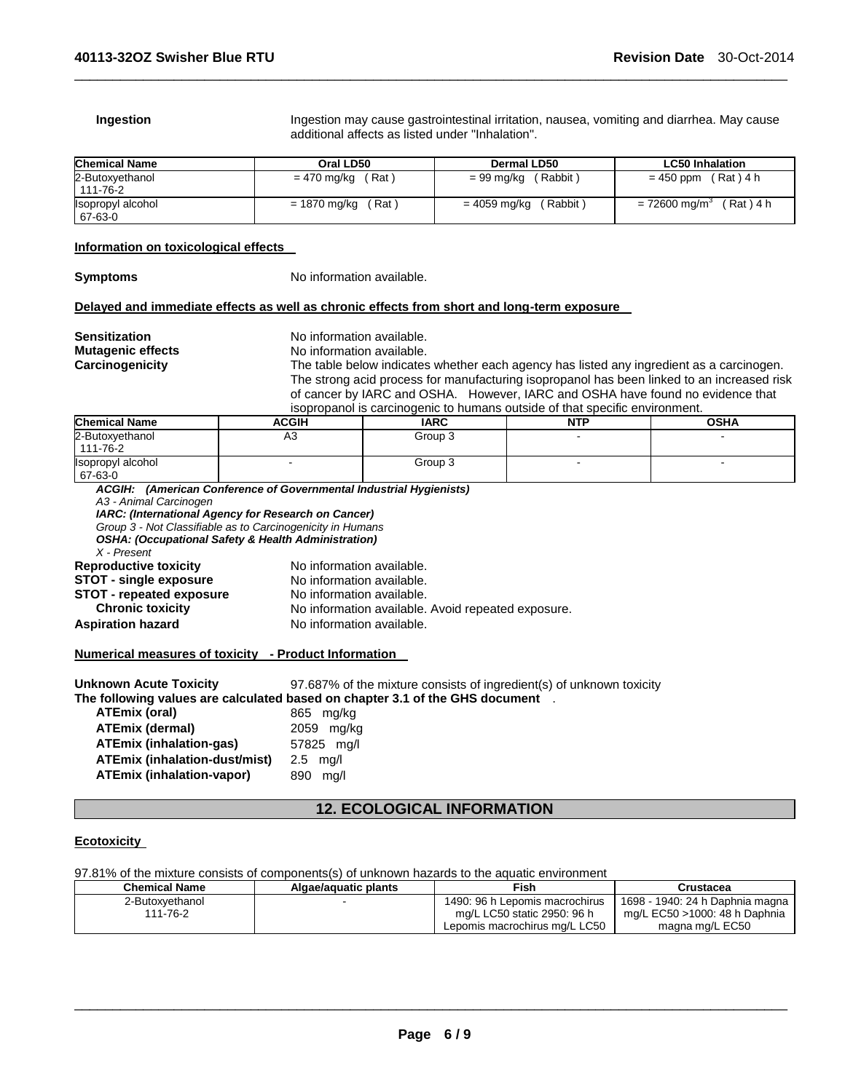**Ingestion Ingestion may cause gastrointestinal irritation, nausea, vomiting and diarrhea. May cause** additional affects as listed under "Inhalation".

| <b>Chemical Name</b> | Oral LD50    | Dermal LD50  | <b>LC50 Inhalation</b>      |
|----------------------|--------------|--------------|-----------------------------|
| 2-Butoxyethanol      | (Rat)        | (Rabbit)     | (Rat)4 h                    |
| 111-76-2             | = 470 mg/kg  | = 99 mg/kg   | $= 450$ ppm                 |
| Isopropyl alcohol    | ์ Rat )      | (Rabbit)     | (Rat)4 h                    |
| 67-63-0              | = 1870 mg/kg | = 4059 mg/kg | $= 72600$ mg/m <sup>3</sup> |

\_\_\_\_\_\_\_\_\_\_\_\_\_\_\_\_\_\_\_\_\_\_\_\_\_\_\_\_\_\_\_\_\_\_\_\_\_\_\_\_\_\_\_\_\_\_\_\_\_\_\_\_\_\_\_\_\_\_\_\_\_\_\_\_\_\_\_\_\_\_\_\_\_\_\_\_\_\_\_\_\_\_\_\_\_\_\_\_\_\_\_\_\_

#### **Information on toxicological effects**

**Symptoms** No information available.

#### **Delayed and immediate effects as well as chronic effects from short and long-term exposure**

**Sensitization** No information available. **Mutagenic effects No information available.**<br> **Carcinogenicity No information available.** The table below indicates whether each agency has listed any ingredient as a carcinogen. The strong acid process for manufacturing isopropanol has been linked to an increased risk of cancer by IARC and OSHA. However, IARC and OSHA have found no evidence that

isopropanol is carcinogenic to humans outside of that specific environment.

| <b>Chemical Name</b>         | ACGIH | <b>IARC</b> | <b>NTP</b> | <b>OSHA</b> |
|------------------------------|-------|-------------|------------|-------------|
| 2-Butoxyethanol<br>111-76-2  | A3    | Group 3     |            |             |
| Isopropyl alcohol<br>67-63-0 |       | Group 3     |            |             |

|                                                                | ACGIH: (American Conference of Governmental Industrial Hygienists) |  |
|----------------------------------------------------------------|--------------------------------------------------------------------|--|
| A3 - Animal Carcinogen                                         |                                                                    |  |
| <b>IARC: (International Agency for Research on Cancer)</b>     |                                                                    |  |
| Group 3 - Not Classifiable as to Carcinogenicity in Humans     |                                                                    |  |
| <b>OSHA: (Occupational Safety &amp; Health Administration)</b> |                                                                    |  |
| X - Present                                                    |                                                                    |  |
| <b>Reproductive toxicity</b>                                   | No information available.                                          |  |
| <b>STOT - single exposure</b>                                  | No information available.                                          |  |
| <b>STOT - repeated exposure</b>                                | No information available.                                          |  |
| <b>Chronic toxicity</b>                                        | No information available. Avoid repeated exposure.                 |  |
| Aspiration hazard                                              | No information available.                                          |  |
| Numerical measures of toxicity - Product Information           |                                                                    |  |

**Unknown Acute Toxicity** 97.687% of the mixture consists of ingredient(s) of unknown toxicity

**The following values are calculated based on chapter 3.1 of the GHS document** .

| <b>ATEmix (oral)</b>                 | 865 mg/kg    |
|--------------------------------------|--------------|
| <b>ATEmix (dermal)</b>               | 2059 mg/kg   |
| <b>ATEmix (inhalation-gas)</b>       | 57825 mg/l   |
| <b>ATEmix (inhalation-dust/mist)</b> | $2.5$ ma/l   |
| <b>ATEmix (inhalation-vapor)</b>     | ma/l<br>890. |

#### **12. ECOLOGICAL INFORMATION**

#### **Ecotoxicity**

97.81% of the mixture consists of components(s) of unknown hazards to the aquatic environment

| <b>Chemical Name</b> | Algae/aquatic plants | Fish                           | Crustacea                       |
|----------------------|----------------------|--------------------------------|---------------------------------|
| 2-Butoxvethanol      |                      | 1490: 96 h Lepomis macrochirus | 1698 - 1940: 24 h Daphnia magna |
| 111-76-2             |                      | mg/L LC50 static 2950: 96 h    | mg/L EC50 >1000: 48 h Daphnia   |
|                      |                      | Lepomis macrochirus mg/L LC50  | magna mg/L EC50                 |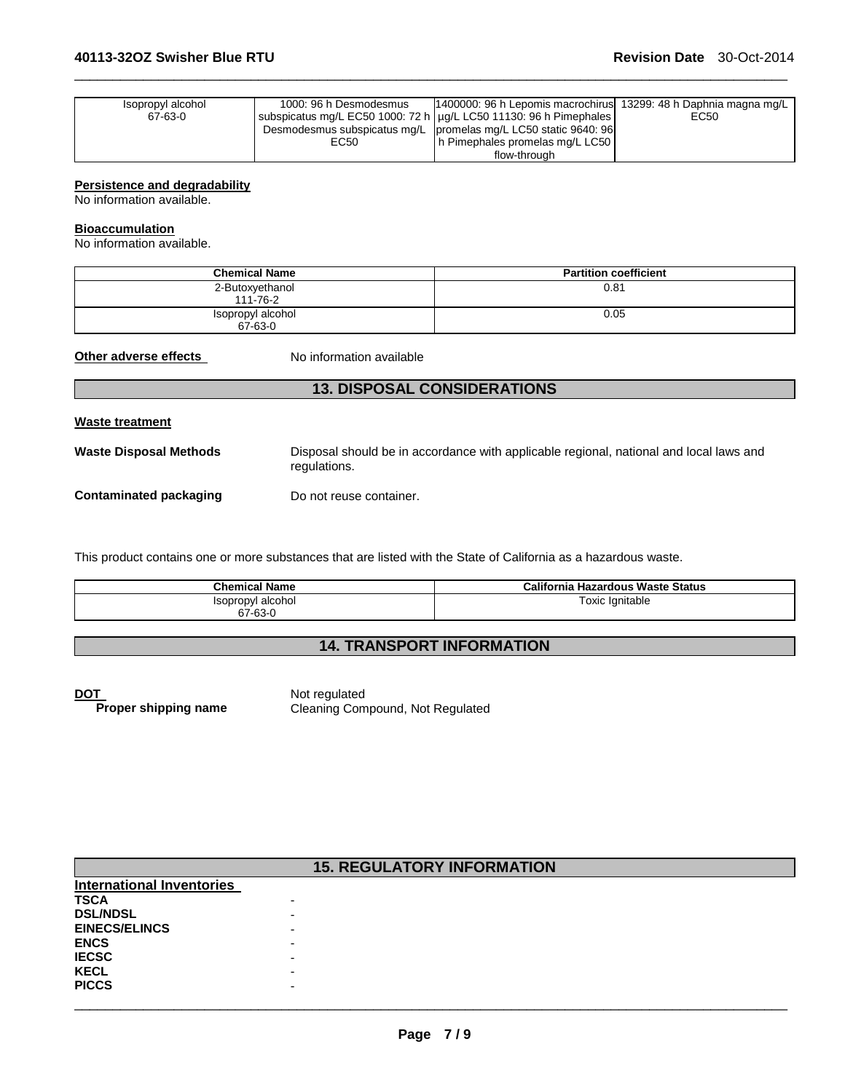| Isopropyl alcohol | 1000: 96 h Desmodesmus | 1400000: 96 h Lepomis macrochirus 13299: 48 h Daphnia magna mg/L    |      |
|-------------------|------------------------|---------------------------------------------------------------------|------|
| 67-63-0           |                        | subspicatus mg/L EC50 1000: 72 h   µg/L LC50 11130: 96 h Pimephales | EC50 |
|                   |                        | Desmodesmus subspicatus mg/L   promelas mg/L LC50 static 9640: 96   |      |
|                   | EC50                   | h Pimephales promelas mg/L LC50                                     |      |
|                   |                        | flow-through                                                        |      |

\_\_\_\_\_\_\_\_\_\_\_\_\_\_\_\_\_\_\_\_\_\_\_\_\_\_\_\_\_\_\_\_\_\_\_\_\_\_\_\_\_\_\_\_\_\_\_\_\_\_\_\_\_\_\_\_\_\_\_\_\_\_\_\_\_\_\_\_\_\_\_\_\_\_\_\_\_\_\_\_\_\_\_\_\_\_\_\_\_\_\_\_\_

#### **Persistence and degradability**

No information available.

#### **Bioaccumulation**

No information available.

| <b>Chemical Name</b>         | <b>Partition coefficient</b> |
|------------------------------|------------------------------|
| 2-Butoxyethanol<br>111-76-2  | 0.81                         |
| Isopropyl alcohol<br>67-63-0 | 0.05                         |

**Other adverse effects** No information available

#### **13. DISPOSAL CONSIDERATIONS**

#### **Waste treatment**

**Waste Disposal Methods** Disposal should be in accordance with applicable regional, national and local laws and regulations.

**Contaminated packaging by Do not reuse container.** 

This product contains one or more substances that are listed with the State of California as a hazardous waste.

| <b>Chemical Name</b> | California Hazardous Waste Status |
|----------------------|-----------------------------------|
| Isopropyl alcohol    | Toxic Ignitable                   |
| 67-63-0              |                                   |

# **14. TRANSPORT INFORMATION**

**DOT**<br>**Proper shipping name Not regulated Proper shipping name** Cleaning Com **Cleaning Compound, Not Regulated** 

| <b>15. REGULATORY INFORMATION</b> |   |  |  |  |  |
|-----------------------------------|---|--|--|--|--|
| <b>International Inventories</b>  |   |  |  |  |  |
| <b>TSCA</b>                       |   |  |  |  |  |
| <b>DSL/NDSL</b>                   |   |  |  |  |  |
| <b>EINECS/ELINCS</b>              |   |  |  |  |  |
| <b>ENCS</b>                       |   |  |  |  |  |
| <b>IECSC</b>                      | - |  |  |  |  |
| <b>KECL</b>                       | - |  |  |  |  |
| <b>PICCS</b>                      | - |  |  |  |  |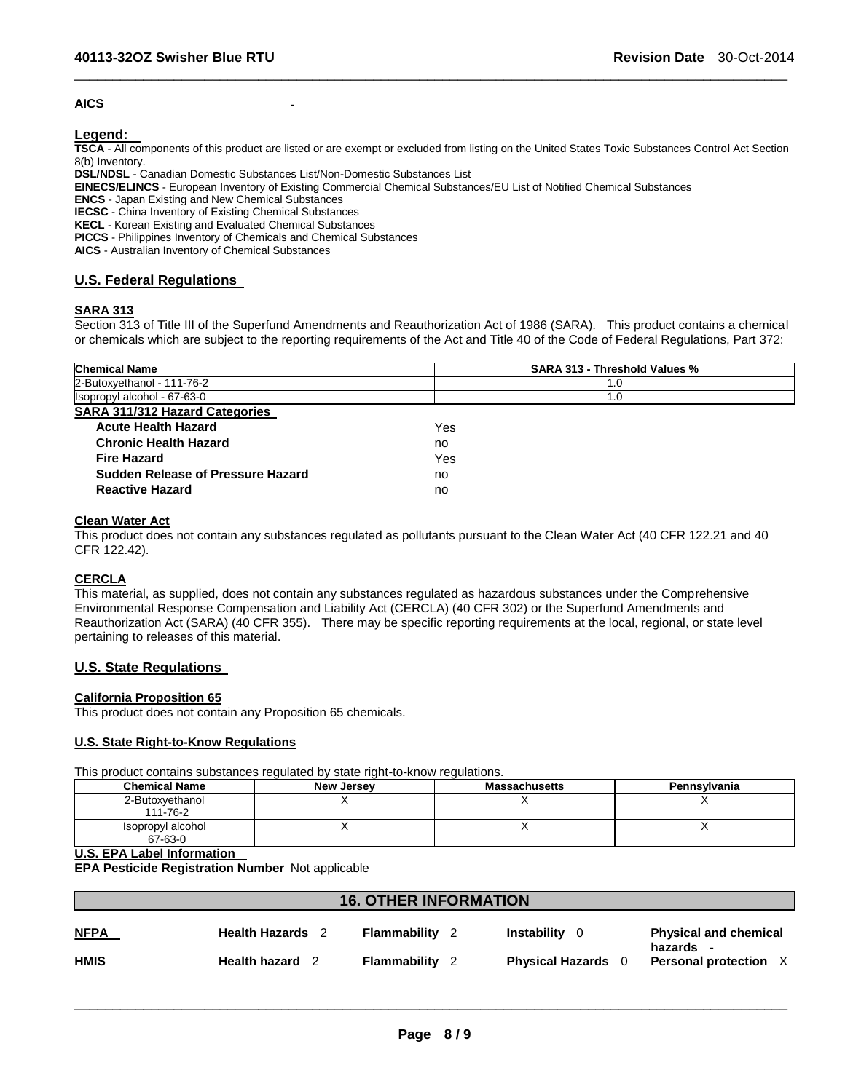#### **AICS** -

**Legend:** 

**TSCA** - All components of this product are listed or are exempt or excluded from listing on the United States Toxic Substances Control Act Section 8(b) Inventory.

\_\_\_\_\_\_\_\_\_\_\_\_\_\_\_\_\_\_\_\_\_\_\_\_\_\_\_\_\_\_\_\_\_\_\_\_\_\_\_\_\_\_\_\_\_\_\_\_\_\_\_\_\_\_\_\_\_\_\_\_\_\_\_\_\_\_\_\_\_\_\_\_\_\_\_\_\_\_\_\_\_\_\_\_\_\_\_\_\_\_\_\_\_

**DSL/NDSL** - Canadian Domestic Substances List/Non-Domestic Substances List

**EINECS/ELINCS** - European Inventory of Existing Commercial Chemical Substances/EU List of Notified Chemical Substances

**ENCS** - Japan Existing and New Chemical Substances

**IECSC** - China Inventory of Existing Chemical Substances

**KECL** - Korean Existing and Evaluated Chemical Substances

**PICCS** - Philippines Inventory of Chemicals and Chemical Substances

**AICS** - Australian Inventory of Chemical Substances

#### **U.S. Federal Regulations**

#### **SARA 313**

Section 313 of Title III of the Superfund Amendments and Reauthorization Act of 1986 (SARA). This product contains a chemical or chemicals which are subject to the reporting requirements of the Act and Title 40 of the Code of Federal Regulations, Part 372:

| <b>Chemical Name</b>                     | SARA 313 - Threshold Values % |
|------------------------------------------|-------------------------------|
| 2-Butoxyethanol - 111-76-2               | 1.0                           |
| Isopropyl alcohol - 67-63-0              | 1.0                           |
| <b>SARA 311/312 Hazard Categories</b>    |                               |
| <b>Acute Health Hazard</b>               | Yes                           |
| <b>Chronic Health Hazard</b>             | no                            |
| <b>Fire Hazard</b>                       | Yes                           |
| <b>Sudden Release of Pressure Hazard</b> | no                            |
| <b>Reactive Hazard</b>                   | no                            |

#### **Clean Water Act**

This product does not contain any substances regulated as pollutants pursuant to the Clean Water Act (40 CFR 122.21 and 40 CFR 122.42).

#### **CERCLA**

This material, as supplied, does not contain any substances regulated as hazardous substances under the Comprehensive Environmental Response Compensation and Liability Act (CERCLA) (40 CFR 302) or the Superfund Amendments and Reauthorization Act (SARA) (40 CFR 355). There may be specific reporting requirements at the local, regional, or state level pertaining to releases of this material.

#### **U.S. State Regulations**

#### **California Proposition 65**

This product does not contain any Proposition 65 chemicals.

#### **U.S. State Right-to-Know Regulations**

This product contains substances regulated by state right-to-know regulations.

| <b>Chemical Name</b>         | New Jersey | <b>Massachusetts</b> | Pennsylvania |
|------------------------------|------------|----------------------|--------------|
| 2-Butoxvethanol<br>111-76-2  |            |                      |              |
| Isopropyl alcohol<br>67-63-0 |            |                      |              |

**U.S. EPA Label Information** 

**EPA Pesticide Registration Number** Not applicable

| <b>16. OTHER INFORMATION</b> |                         |                       |                                     |                                         |
|------------------------------|-------------------------|-----------------------|-------------------------------------|-----------------------------------------|
| <u>NFPA</u>                  | <b>Health Hazards</b> 2 | Flammability<br>- 2   | Instability<br>- 0                  | <b>Physical and chemical</b><br>hazards |
| <u>HMIS</u>                  | Health hazard 2         | <b>Flammability</b> 2 | <b>Physical Hazards</b><br>$\Omega$ | <b>Personal protection</b> X            |